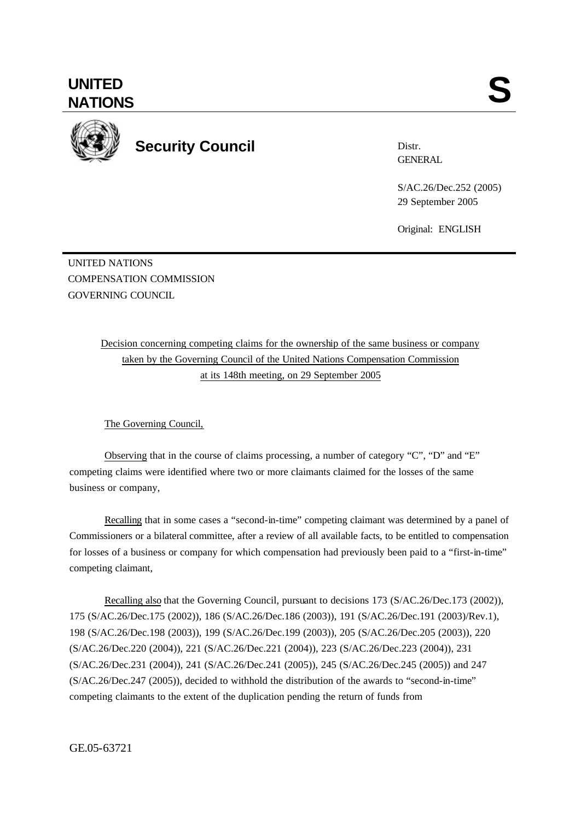**UNITED** UNITED SANTIONS



**Security Council**

Distr. **GENERAL** 

S/AC.26/Dec.252 (2005) 029 September 2005

Original: ENGLISH

UNITED NATIONS COMPENSATION COMMISSION GOVERNING COUNCIL.

> Decision concerning competing claims for the ownership of the same business or company taken by the Governing Council of the United Nations Compensation Commission at its 148th meeting, on 29 September 2005

The Governing Council,

Observing that in the course of claims processing, a number of category "C", "D" and "E" competing claims were identified where two or more claimants claimed for the losses of the same business or company,

Recalling that in some cases a "second-in-time" competing claimant was determined by a panel of Commissioners or a bilateral committee, after a review of all available facts, to be entitled to compensation for losses of a business or company for which compensation had previously been paid to a "first-in-time" competing claimant,

Recalling also that the Governing Council, pursuant to decisions 173 (S/AC.26/Dec.173 (2002)), 175 (S/AC.26/Dec.175 (2002)), 186 (S/AC.26/Dec.186 (2003)), 191 (S/AC.26/Dec.191 (2003)/Rev.1), 198 (S/AC.26/Dec.198 (2003)), 199 (S/AC.26/Dec.199 (2003)), 205 (S/AC.26/Dec.205 (2003)), 220 (S/AC.26/Dec.220 (2004)), 221 (S/AC.26/Dec.221 (2004)), 223 (S/AC.26/Dec.223 (2004)), 231 (S/AC.26/Dec.231 (2004)), 241 (S/AC.26/Dec.241 (2005)), 245 (S/AC.26/Dec.245 (2005)) and 247 (S/AC.26/Dec.247 (2005)), decided to withhold the distribution of the awards to "second-in-time" competing claimants to the extent of the duplication pending the return of funds from

GE.05-63721